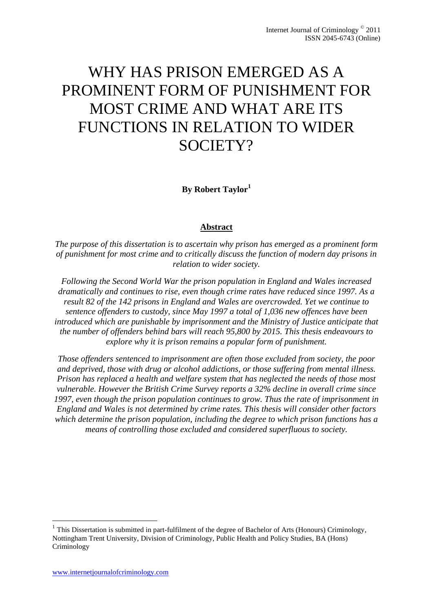# WHY HAS PRISON EMERGED AS A PROMINENT FORM OF PUNISHMENT FOR MOST CRIME AND WHAT ARE ITS FUNCTIONS IN RELATION TO WIDER SOCIETY?

**By Robert Taylor<sup>1</sup>**

## **Abstract**

*The purpose of this dissertation is to ascertain why prison has emerged as a prominent form of punishment for most crime and to critically discuss the function of modern day prisons in relation to wider society.*

*Following the Second World War the prison population in England and Wales increased dramatically and continues to rise, even though crime rates have reduced since 1997. As a result 82 of the 142 prisons in England and Wales are overcrowded. Yet we continue to sentence offenders to custody, since May 1997 a total of 1,036 new offences have been introduced which are punishable by imprisonment and the Ministry of Justice anticipate that the number of offenders behind bars will reach 95,800 by 2015. This thesis endeavours to explore why it is prison remains a popular form of punishment.*

*Those offenders sentenced to imprisonment are often those excluded from society, the poor and deprived, those with drug or alcohol addictions, or those suffering from mental illness. Prison has replaced a health and welfare system that has neglected the needs of those most vulnerable. However the British Crime Survey reports a 32% decline in overall crime since 1997, even though the prison population continues to grow. Thus the rate of imprisonment in England and Wales is not determined by crime rates. This thesis will consider other factors which determine the prison population, including the degree to which prison functions has a means of controlling those excluded and considered superfluous to society.*

**.** 

<sup>&</sup>lt;sup>1</sup> This Dissertation is submitted in part-fulfilment of the degree of Bachelor of Arts (Honours) Criminology, Nottingham Trent University, Division of Criminology, Public Health and Policy Studies, BA (Hons) Criminology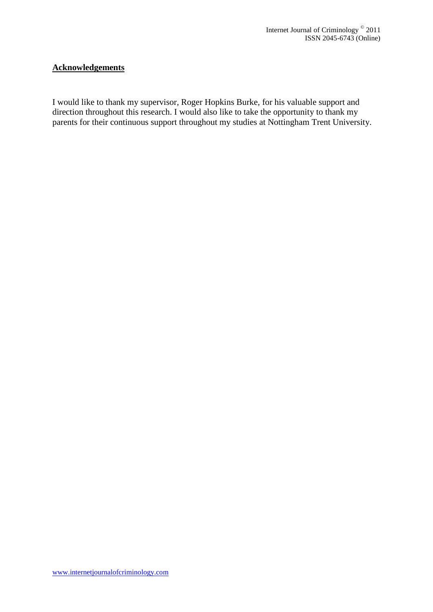## **Acknowledgements**

I would like to thank my supervisor, Roger Hopkins Burke, for his valuable support and direction throughout this research. I would also like to take the opportunity to thank my parents for their continuous support throughout my studies at Nottingham Trent University.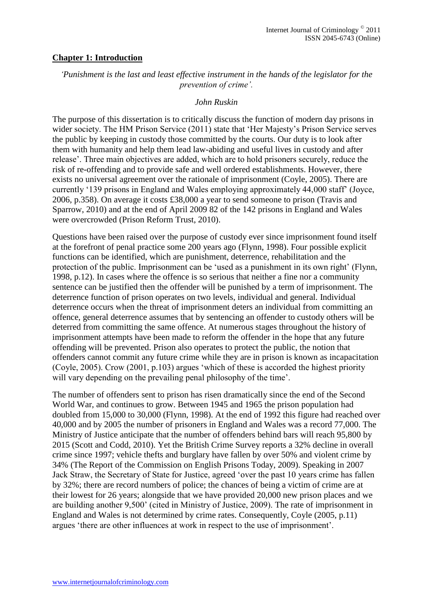#### **Chapter 1: Introduction**

*'Punishment is the last and least effective instrument in the hands of the legislator for the prevention of crime'.*

#### *John Ruskin*

The purpose of this dissertation is to critically discuss the function of modern day prisons in wider society. The HM Prison Service (2011) state that 'Her Majesty's Prison Service serves the public by keeping in custody those committed by the courts. Our duty is to look after them with humanity and help them lead law-abiding and useful lives in custody and after release'. Three main objectives are added, which are to hold prisoners securely, reduce the risk of re-offending and to provide safe and well ordered establishments. However, there exists no universal agreement over the rationale of imprisonment (Coyle, 2005). There are currently '139 prisons in England and Wales employing approximately 44,000 staff' (Joyce, 2006, p.358). On average it costs £38,000 a year to send someone to prison (Travis and Sparrow, 2010) and at the end of April 2009 82 of the 142 prisons in England and Wales were overcrowded (Prison Reform Trust, 2010).

Questions have been raised over the purpose of custody ever since imprisonment found itself at the forefront of penal practice some 200 years ago (Flynn, 1998). Four possible explicit functions can be identified, which are punishment, deterrence, rehabilitation and the protection of the public. Imprisonment can be 'used as a punishment in its own right' (Flynn, 1998, p.12). In cases where the offence is so serious that neither a fine nor a community sentence can be justified then the offender will be punished by a term of imprisonment. The deterrence function of prison operates on two levels, individual and general. Individual deterrence occurs when the threat of imprisonment deters an individual from committing an offence, general deterrence assumes that by sentencing an offender to custody others will be deterred from committing the same offence. At numerous stages throughout the history of imprisonment attempts have been made to reform the offender in the hope that any future offending will be prevented. Prison also operates to protect the public, the notion that offenders cannot commit any future crime while they are in prison is known as incapacitation (Coyle, 2005). Crow (2001, p.103) argues 'which of these is accorded the highest priority will vary depending on the prevailing penal philosophy of the time'.

The number of offenders sent to prison has risen dramatically since the end of the Second World War, and continues to grow. Between 1945 and 1965 the prison population had doubled from 15,000 to 30,000 (Flynn, 1998). At the end of 1992 this figure had reached over 40,000 and by 2005 the number of prisoners in England and Wales was a record 77,000. The Ministry of Justice anticipate that the number of offenders behind bars will reach 95,800 by 2015 (Scott and Codd, 2010). Yet the British Crime Survey reports a 32% decline in overall crime since 1997; vehicle thefts and burglary have fallen by over 50% and violent crime by 34% (The Report of the Commission on English Prisons Today, 2009). Speaking in 2007 Jack Straw, the Secretary of State for Justice, agreed 'over the past 10 years crime has fallen by 32%; there are record numbers of police; the chances of being a victim of crime are at their lowest for 26 years; alongside that we have provided 20,000 new prison places and we are building another 9,500' (cited in Ministry of Justice, 2009). The rate of imprisonment in England and Wales is not determined by crime rates. Consequently, Coyle (2005, p.11) argues 'there are other influences at work in respect to the use of imprisonment'.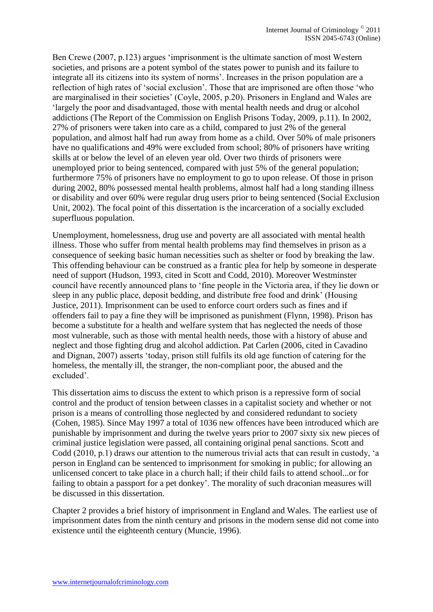Ben Crewe (2007, p.123) argues 'imprisonment is the ultimate sanction of most Western societies, and prisons are a potent symbol of the states power to punish and its failure to integrate all its citizens into its system of norms'. Increases in the prison population are a reflection of high rates of 'social exclusion'. Those that are imprisoned are often those 'who are marginalised in their societies' (Coyle, 2005, p.20). Prisoners in England and Wales are 'largely the poor and disadvantaged, those with mental health needs and drug or alcohol addictions (The Report of the Commission on English Prisons Today, 2009, p.11). In 2002, 27% of prisoners were taken into care as a child, compared to just 2% of the general population, and almost half had run away from home as a child. Over 50% of male prisoners have no qualifications and 49% were excluded from school; 80% of prisoners have writing skills at or below the level of an eleven year old. Over two thirds of prisoners were unemployed prior to being sentenced, compared with just 5% of the general population; furthermore 75% of prisoners have no employment to go to upon release. Of those in prison during 2002, 80% possessed mental health problems, almost half had a long standing illness or disability and over 60% were regular drug users prior to being sentenced (Social Exclusion Unit, 2002). The focal point of this dissertation is the incarceration of a socially excluded superfluous population.

Unemployment, homelessness, drug use and poverty are all associated with mental health illness. Those who suffer from mental health problems may find themselves in prison as a consequence of seeking basic human necessities such as shelter or food by breaking the law. This offending behaviour can be construed as a frantic plea for help by someone in desperate need of support (Hudson, 1993, cited in Scott and Codd, 2010). Moreover Westminster council have recently announced plans to 'fine people in the Victoria area, if they lie down or sleep in any public place, deposit bedding, and distribute free food and drink' (Housing Justice, 2011). Imprisonment can be used to enforce court orders such as fines and if offenders fail to pay a fine they will be imprisoned as punishment (Flynn, 1998). Prison has become a substitute for a health and welfare system that has neglected the needs of those most vulnerable, such as those with mental health needs, those with a history of abuse and neglect and those fighting drug and alcohol addiction. Pat Carlen (2006, cited in Cavadino and Dignan, 2007) asserts 'today, prison still fulfils its old age function of catering for the homeless, the mentally ill, the stranger, the non-compliant poor, the abused and the excluded'.

This dissertation aims to discuss the extent to which prison is a repressive form of social control and the product of tension between classes in a capitalist society and whether or not prison is a means of controlling those neglected by and considered redundant to society (Cohen, 1985). Since May 1997 a total of 1036 new offences have been introduced which are punishable by imprisonment and during the twelve years prior to 2007 sixty six new pieces of criminal justice legislation were passed, all containing original penal sanctions. Scott and Codd (2010, p.1) draws our attention to the numerous trivial acts that can result in custody, 'a person in England can be sentenced to imprisonment for smoking in public; for allowing an unlicensed concert to take place in a church hall; if their child fails to attend school...or for failing to obtain a passport for a pet donkey'. The morality of such draconian measures will be discussed in this dissertation.

Chapter 2 provides a brief history of imprisonment in England and Wales. The earliest use of imprisonment dates from the ninth century and prisons in the modern sense did not come into existence until the eighteenth century (Muncie, 1996).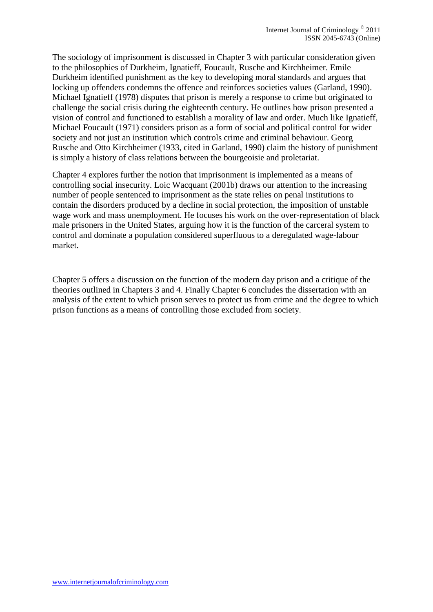The sociology of imprisonment is discussed in Chapter 3 with particular consideration given to the philosophies of Durkheim, Ignatieff, Foucault, Rusche and Kirchheimer. Emile Durkheim identified punishment as the key to developing moral standards and argues that locking up offenders condemns the offence and reinforces societies values (Garland, 1990). Michael Ignatieff (1978) disputes that prison is merely a response to crime but originated to challenge the social crisis during the eighteenth century. He outlines how prison presented a vision of control and functioned to establish a morality of law and order. Much like Ignatieff, Michael Foucault (1971) considers prison as a form of social and political control for wider society and not just an institution which controls crime and criminal behaviour. Georg Rusche and Otto Kirchheimer (1933, cited in Garland, 1990) claim the history of punishment is simply a history of class relations between the bourgeoisie and proletariat.

Chapter 4 explores further the notion that imprisonment is implemented as a means of controlling social insecurity. Loic Wacquant (2001b) draws our attention to the increasing number of people sentenced to imprisonment as the state relies on penal institutions to contain the disorders produced by a decline in social protection, the imposition of unstable wage work and mass unemployment. He focuses his work on the over-representation of black male prisoners in the United States, arguing how it is the function of the carceral system to control and dominate a population considered superfluous to a deregulated wage-labour market.

Chapter 5 offers a discussion on the function of the modern day prison and a critique of the theories outlined in Chapters 3 and 4. Finally Chapter 6 concludes the dissertation with an analysis of the extent to which prison serves to protect us from crime and the degree to which prison functions as a means of controlling those excluded from society.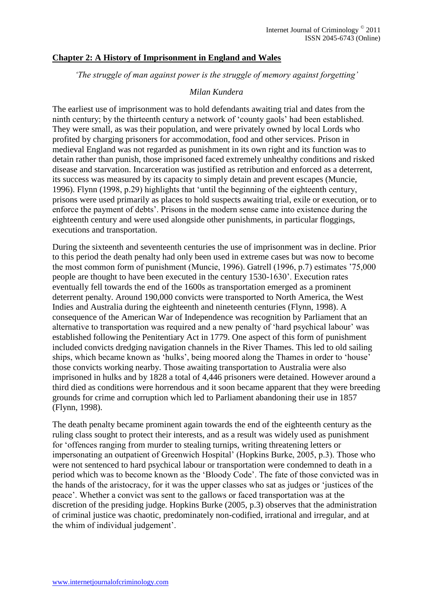## **Chapter 2: A History of Imprisonment in England and Wales**

*'The struggle of man against power is the struggle of memory against forgetting'*

#### *Milan Kundera*

The earliest use of imprisonment was to hold defendants awaiting trial and dates from the ninth century; by the thirteenth century a network of 'county gaols' had been established. They were small, as was their population, and were privately owned by local Lords who profited by charging prisoners for accommodation, food and other services. Prison in medieval England was not regarded as punishment in its own right and its function was to detain rather than punish, those imprisoned faced extremely unhealthy conditions and risked disease and starvation. Incarceration was justified as retribution and enforced as a deterrent, its success was measured by its capacity to simply detain and prevent escapes (Muncie, 1996). Flynn (1998, p.29) highlights that 'until the beginning of the eighteenth century, prisons were used primarily as places to hold suspects awaiting trial, exile or execution, or to enforce the payment of debts'. Prisons in the modern sense came into existence during the eighteenth century and were used alongside other punishments, in particular floggings, executions and transportation.

During the sixteenth and seventeenth centuries the use of imprisonment was in decline. Prior to this period the death penalty had only been used in extreme cases but was now to become the most common form of punishment (Muncie, 1996). Gatrell (1996, p.7) estimates '75,000 people are thought to have been executed in the century 1530-1630'. Execution rates eventually fell towards the end of the 1600s as transportation emerged as a prominent deterrent penalty. Around 190,000 convicts were transported to North America, the West Indies and Australia during the eighteenth and nineteenth centuries (Flynn, 1998). A consequence of the American War of Independence was recognition by Parliament that an alternative to transportation was required and a new penalty of 'hard psychical labour' was established following the Penitentiary Act in 1779. One aspect of this form of punishment included convicts dredging navigation channels in the River Thames. This led to old sailing ships, which became known as 'hulks', being moored along the Thames in order to 'house' those convicts working nearby. Those awaiting transportation to Australia were also imprisoned in hulks and by 1828 a total of 4,446 prisoners were detained. However around a third died as conditions were horrendous and it soon became apparent that they were breeding grounds for crime and corruption which led to Parliament abandoning their use in 1857 (Flynn, 1998).

The death penalty became prominent again towards the end of the eighteenth century as the ruling class sought to protect their interests, and as a result was widely used as punishment for 'offences ranging from murder to stealing turnips, writing threatening letters or impersonating an outpatient of Greenwich Hospital' (Hopkins Burke, 2005, p.3). Those who were not sentenced to hard psychical labour or transportation were condemned to death in a period which was to become known as the 'Bloody Code'. The fate of those convicted was in the hands of the aristocracy, for it was the upper classes who sat as judges or 'justices of the peace'. Whether a convict was sent to the gallows or faced transportation was at the discretion of the presiding judge. Hopkins Burke (2005, p.3) observes that the administration of criminal justice was chaotic, predominately non-codified, irrational and irregular, and at the whim of individual judgement'.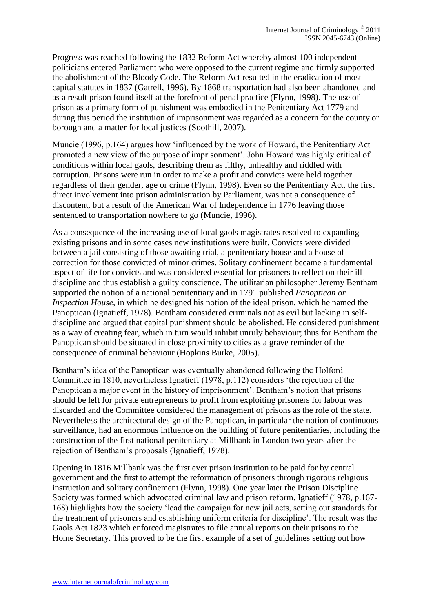Progress was reached following the 1832 Reform Act whereby almost 100 independent politicians entered Parliament who were opposed to the current regime and firmly supported the abolishment of the Bloody Code. The Reform Act resulted in the eradication of most capital statutes in 1837 (Gatrell, 1996). By 1868 transportation had also been abandoned and as a result prison found itself at the forefront of penal practice (Flynn, 1998). The use of prison as a primary form of punishment was embodied in the Penitentiary Act 1779 and during this period the institution of imprisonment was regarded as a concern for the county or borough and a matter for local justices (Soothill, 2007).

Muncie (1996, p.164) argues how 'influenced by the work of Howard, the Penitentiary Act promoted a new view of the purpose of imprisonment'. John Howard was highly critical of conditions within local gaols, describing them as filthy, unhealthy and riddled with corruption. Prisons were run in order to make a profit and convicts were held together regardless of their gender, age or crime (Flynn, 1998). Even so the Penitentiary Act, the first direct involvement into prison administration by Parliament, was not a consequence of discontent, but a result of the American War of Independence in 1776 leaving those sentenced to transportation nowhere to go (Muncie, 1996).

As a consequence of the increasing use of local gaols magistrates resolved to expanding existing prisons and in some cases new institutions were built. Convicts were divided between a jail consisting of those awaiting trial, a penitentiary house and a house of correction for those convicted of minor crimes. Solitary confinement became a fundamental aspect of life for convicts and was considered essential for prisoners to reflect on their illdiscipline and thus establish a guilty conscience. The utilitarian philosopher Jeremy Bentham supported the notion of a national penitentiary and in 1791 published *Panoptican or Inspection House*, in which he designed his notion of the ideal prison, which he named the Panoptican (Ignatieff, 1978). Bentham considered criminals not as evil but lacking in selfdiscipline and argued that capital punishment should be abolished. He considered punishment as a way of creating fear, which in turn would inhibit unruly behaviour; thus for Bentham the Panoptican should be situated in close proximity to cities as a grave reminder of the consequence of criminal behaviour (Hopkins Burke, 2005).

Bentham's idea of the Panoptican was eventually abandoned following the Holford Committee in 1810, nevertheless Ignatieff (1978, p.112) considers 'the rejection of the Panoptican a major event in the history of imprisonment'. Bentham's notion that prisons should be left for private entrepreneurs to profit from exploiting prisoners for labour was discarded and the Committee considered the management of prisons as the role of the state. Nevertheless the architectural design of the Panoptican, in particular the notion of continuous surveillance, had an enormous influence on the building of future penitentiaries, including the construction of the first national penitentiary at Millbank in London two years after the rejection of Bentham's proposals (Ignatieff, 1978).

Opening in 1816 Millbank was the first ever prison institution to be paid for by central government and the first to attempt the reformation of prisoners through rigorous religious instruction and solitary confinement (Flynn, 1998). One year later the Prison Discipline Society was formed which advocated criminal law and prison reform. Ignatieff (1978, p.167- 168) highlights how the society 'lead the campaign for new jail acts, setting out standards for the treatment of prisoners and establishing uniform criteria for discipline'. The result was the Gaols Act 1823 which enforced magistrates to file annual reports on their prisons to the Home Secretary. This proved to be the first example of a set of guidelines setting out how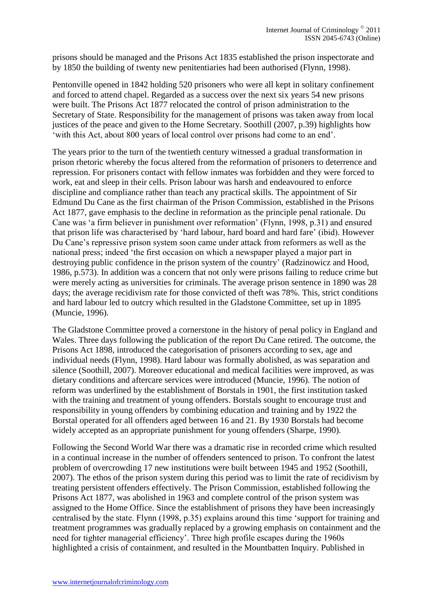prisons should be managed and the Prisons Act 1835 established the prison inspectorate and by 1850 the building of twenty new penitentiaries had been authorised (Flynn, 1998).

Pentonville opened in 1842 holding 520 prisoners who were all kept in solitary confinement and forced to attend chapel. Regarded as a success over the next six years 54 new prisons were built. The Prisons Act 1877 relocated the control of prison administration to the Secretary of State. Responsibility for the management of prisons was taken away from local justices of the peace and given to the Home Secretary. Soothill (2007, p.39) highlights how 'with this Act, about 800 years of local control over prisons had come to an end'.

The years prior to the turn of the twentieth century witnessed a gradual transformation in prison rhetoric whereby the focus altered from the reformation of prisoners to deterrence and repression. For prisoners contact with fellow inmates was forbidden and they were forced to work, eat and sleep in their cells. Prison labour was harsh and endeavoured to enforce discipline and compliance rather than teach any practical skills. The appointment of Sir Edmund Du Cane as the first chairman of the Prison Commission, established in the Prisons Act 1877, gave emphasis to the decline in reformation as the principle penal rationale. Du Cane was 'a firm believer in punishment over reformation' (Flynn, 1998, p.31) and ensured that prison life was characterised by 'hard labour, hard board and hard fare' (ibid). However Du Cane's repressive prison system soon came under attack from reformers as well as the national press; indeed 'the first occasion on which a newspaper played a major part in destroying public confidence in the prison system of the country' (Radzinowicz and Hood, 1986, p.573). In addition was a concern that not only were prisons failing to reduce crime but were merely acting as universities for criminals. The average prison sentence in 1890 was 28 days; the average recidivism rate for those convicted of theft was 78%. This, strict conditions and hard labour led to outcry which resulted in the Gladstone Committee, set up in 1895 (Muncie, 1996).

The Gladstone Committee proved a cornerstone in the history of penal policy in England and Wales. Three days following the publication of the report Du Cane retired. The outcome, the Prisons Act 1898, introduced the categorisation of prisoners according to sex, age and individual needs (Flynn, 1998). Hard labour was formally abolished, as was separation and silence (Soothill, 2007). Moreover educational and medical facilities were improved, as was dietary conditions and aftercare services were introduced (Muncie, 1996). The notion of reform was underlined by the establishment of Borstals in 1901, the first institution tasked with the training and treatment of young offenders. Borstals sought to encourage trust and responsibility in young offenders by combining education and training and by 1922 the Borstal operated for all offenders aged between 16 and 21. By 1930 Borstals had become widely accepted as an appropriate punishment for young offenders (Sharpe, 1990).

Following the Second World War there was a dramatic rise in recorded crime which resulted in a continual increase in the number of offenders sentenced to prison. To confront the latest problem of overcrowding 17 new institutions were built between 1945 and 1952 (Soothill, 2007). The ethos of the prison system during this period was to limit the rate of recidivism by treating persistent offenders effectively. The Prison Commission, established following the Prisons Act 1877, was abolished in 1963 and complete control of the prison system was assigned to the Home Office. Since the establishment of prisons they have been increasingly centralised by the state. Flynn (1998, p.35) explains around this time 'support for training and treatment programmes was gradually replaced by a growing emphasis on containment and the need for tighter managerial efficiency'. Three high profile escapes during the 1960s highlighted a crisis of containment, and resulted in the Mountbatten Inquiry. Published in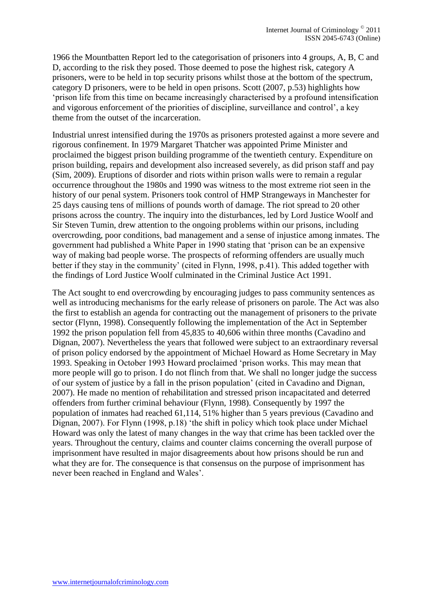1966 the Mountbatten Report led to the categorisation of prisoners into 4 groups, A, B, C and D, according to the risk they posed. Those deemed to pose the highest risk, category A prisoners, were to be held in top security prisons whilst those at the bottom of the spectrum, category D prisoners, were to be held in open prisons. Scott (2007, p.53) highlights how 'prison life from this time on became increasingly characterised by a profound intensification and vigorous enforcement of the priorities of discipline, surveillance and control', a key theme from the outset of the incarceration.

Industrial unrest intensified during the 1970s as prisoners protested against a more severe and rigorous confinement. In 1979 Margaret Thatcher was appointed Prime Minister and proclaimed the biggest prison building programme of the twentieth century. Expenditure on prison building, repairs and development also increased severely, as did prison staff and pay (Sim, 2009). Eruptions of disorder and riots within prison walls were to remain a regular occurrence throughout the 1980s and 1990 was witness to the most extreme riot seen in the history of our penal system. Prisoners took control of HMP Strangeways in Manchester for 25 days causing tens of millions of pounds worth of damage. The riot spread to 20 other prisons across the country. The inquiry into the disturbances, led by Lord Justice Woolf and Sir Steven Tumin, drew attention to the ongoing problems within our prisons, including overcrowding, poor conditions, bad management and a sense of injustice among inmates. The government had published a White Paper in 1990 stating that 'prison can be an expensive way of making bad people worse. The prospects of reforming offenders are usually much better if they stay in the community' (cited in Flynn, 1998, p.41). This added together with the findings of Lord Justice Woolf culminated in the Criminal Justice Act 1991.

The Act sought to end overcrowding by encouraging judges to pass community sentences as well as introducing mechanisms for the early release of prisoners on parole. The Act was also the first to establish an agenda for contracting out the management of prisoners to the private sector (Flynn, 1998). Consequently following the implementation of the Act in September 1992 the prison population fell from 45,835 to 40,606 within three months (Cavadino and Dignan, 2007). Nevertheless the years that followed were subject to an extraordinary reversal of prison policy endorsed by the appointment of Michael Howard as Home Secretary in May 1993. Speaking in October 1993 Howard proclaimed 'prison works. This may mean that more people will go to prison. I do not flinch from that. We shall no longer judge the success of our system of justice by a fall in the prison population' (cited in Cavadino and Dignan, 2007). He made no mention of rehabilitation and stressed prison incapacitated and deterred offenders from further criminal behaviour (Flynn, 1998). Consequently by 1997 the population of inmates had reached 61,114, 51% higher than 5 years previous (Cavadino and Dignan, 2007). For Flynn (1998, p.18) 'the shift in policy which took place under Michael Howard was only the latest of many changes in the way that crime has been tackled over the years. Throughout the century, claims and counter claims concerning the overall purpose of imprisonment have resulted in major disagreements about how prisons should be run and what they are for. The consequence is that consensus on the purpose of imprisonment has never been reached in England and Wales'.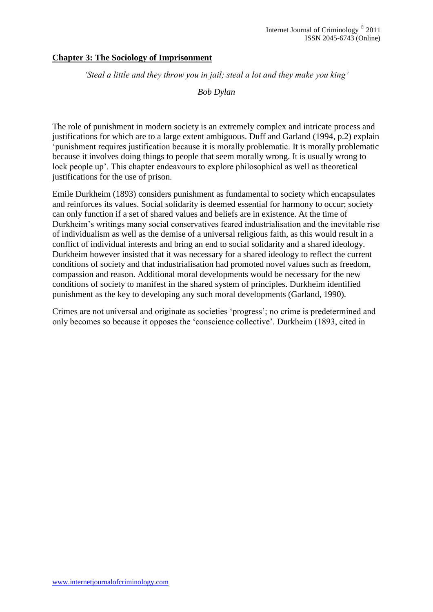## **Chapter 3: The Sociology of Imprisonment**

*'Steal a little and they throw you in jail; steal a lot and they make you king'*

*Bob Dylan*

The role of punishment in modern society is an extremely complex and intricate process and justifications for which are to a large extent ambiguous. Duff and Garland (1994, p.2) explain 'punishment requires justification because it is morally problematic. It is morally problematic because it involves doing things to people that seem morally wrong. It is usually wrong to lock people up'. This chapter endeavours to explore philosophical as well as theoretical justifications for the use of prison.

Emile Durkheim (1893) considers punishment as fundamental to society which encapsulates and reinforces its values. Social solidarity is deemed essential for harmony to occur; society can only function if a set of shared values and beliefs are in existence. At the time of Durkheim's writings many social conservatives feared industrialisation and the inevitable rise of individualism as well as the demise of a universal religious faith, as this would result in a conflict of individual interests and bring an end to social solidarity and a shared ideology. Durkheim however insisted that it was necessary for a shared ideology to reflect the current conditions of society and that industrialisation had promoted novel values such as freedom, compassion and reason. Additional moral developments would be necessary for the new conditions of society to manifest in the shared system of principles. Durkheim identified punishment as the key to developing any such moral developments (Garland, 1990).

Crimes are not universal and originate as societies 'progress'; no crime is predetermined and only becomes so because it opposes the 'conscience collective'. Durkheim (1893, cited in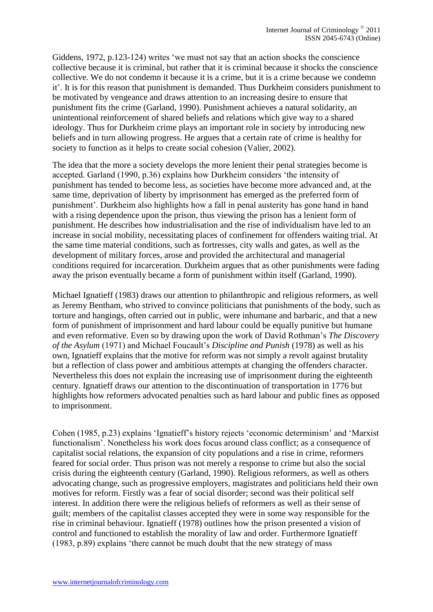Giddens, 1972, p.123-124) writes 'we must not say that an action shocks the conscience collective because it is criminal, but rather that it is criminal because it shocks the conscience collective. We do not condemn it because it is a crime, but it is a crime because we condemn it'. It is for this reason that punishment is demanded. Thus Durkheim considers punishment to be motivated by vengeance and draws attention to an increasing desire to ensure that punishment fits the crime (Garland, 1990). Punishment achieves a natural solidarity, an unintentional reinforcement of shared beliefs and relations which give way to a shared ideology. Thus for Durkheim crime plays an important role in society by introducing new beliefs and in turn allowing progress. He argues that a certain rate of crime is healthy for society to function as it helps to create social cohesion (Valier, 2002).

The idea that the more a society develops the more lenient their penal strategies become is accepted. Garland (1990, p.36) explains how Durkheim considers 'the intensity of punishment has tended to become less, as societies have become more advanced and, at the same time, deprivation of liberty by imprisonment has emerged as the preferred form of punishment'. Durkheim also highlights how a fall in penal austerity has gone hand in hand with a rising dependence upon the prison, thus viewing the prison has a lenient form of punishment. He describes how industrialisation and the rise of individualism have led to an increase in social mobility, necessitating places of confinement for offenders waiting trial. At the same time material conditions, such as fortresses, city walls and gates, as well as the development of military forces, arose and provided the architectural and managerial conditions required for incarceration. Durkheim argues that as other punishments were fading away the prison eventually became a form of punishment within itself (Garland, 1990).

Michael Ignatieff (1983) draws our attention to philanthropic and religious reformers, as well as Jeremy Bentham, who strived to convince politicians that punishments of the body, such as torture and hangings, often carried out in public, were inhumane and barbaric, and that a new form of punishment of imprisonment and hard labour could be equally punitive but humane and even reformative. Even so by drawing upon the work of David Rothman's *The Discovery of the Asylum* (1971) and Michael Foucault's *Discipline and Punish* (1978) as well as his own, Ignatieff explains that the motive for reform was not simply a revolt against brutality but a reflection of class power and ambitious attempts at changing the offenders character. Nevertheless this does not explain the increasing use of imprisonment during the eighteenth century. Ignatieff draws our attention to the discontinuation of transportation in 1776 but highlights how reformers advocated penalties such as hard labour and public fines as opposed to imprisonment.

Cohen (1985, p.23) explains 'Ignatieff's history rejects 'economic determinism' and 'Marxist functionalism'. Nonetheless his work does focus around class conflict; as a consequence of capitalist social relations, the expansion of city populations and a rise in crime, reformers feared for social order. Thus prison was not merely a response to crime but also the social crisis during the eighteenth century (Garland, 1990). Religious reformers, as well as others advocating change, such as progressive employers, magistrates and politicians held their own motives for reform. Firstly was a fear of social disorder; second was their political self interest. In addition there were the religious beliefs of reformers as well as their sense of guilt; members of the capitalist classes accepted they were in some way responsible for the rise in criminal behaviour. Ignatieff (1978) outlines how the prison presented a vision of control and functioned to establish the morality of law and order. Furthermore Ignatieff (1983, p.89) explains 'there cannot be much doubt that the new strategy of mass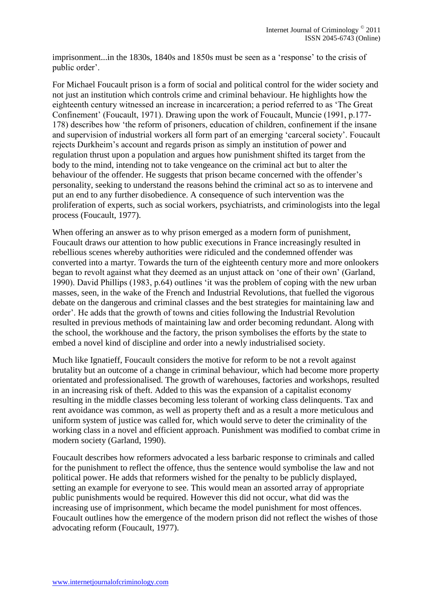imprisonment...in the 1830s, 1840s and 1850s must be seen as a 'response' to the crisis of public order'.

For Michael Foucault prison is a form of social and political control for the wider society and not just an institution which controls crime and criminal behaviour. He highlights how the eighteenth century witnessed an increase in incarceration; a period referred to as 'The Great Confinement' (Foucault, 1971). Drawing upon the work of Foucault, Muncie (1991, p.177- 178) describes how 'the reform of prisoners, education of children, confinement if the insane and supervision of industrial workers all form part of an emerging 'carceral society'. Foucault rejects Durkheim's account and regards prison as simply an institution of power and regulation thrust upon a population and argues how punishment shifted its target from the body to the mind, intending not to take vengeance on the criminal act but to alter the behaviour of the offender. He suggests that prison became concerned with the offender's personality, seeking to understand the reasons behind the criminal act so as to intervene and put an end to any further disobedience. A consequence of such intervention was the proliferation of experts, such as social workers, psychiatrists, and criminologists into the legal process (Foucault, 1977).

When offering an answer as to why prison emerged as a modern form of punishment, Foucault draws our attention to how public executions in France increasingly resulted in rebellious scenes whereby authorities were ridiculed and the condemned offender was converted into a martyr. Towards the turn of the eighteenth century more and more onlookers began to revolt against what they deemed as an unjust attack on 'one of their own' (Garland, 1990). David Phillips (1983, p.64) outlines 'it was the problem of coping with the new urban masses, seen, in the wake of the French and Industrial Revolutions, that fuelled the vigorous debate on the dangerous and criminal classes and the best strategies for maintaining law and order'. He adds that the growth of towns and cities following the Industrial Revolution resulted in previous methods of maintaining law and order becoming redundant. Along with the school, the workhouse and the factory, the prison symbolises the efforts by the state to embed a novel kind of discipline and order into a newly industrialised society.

Much like Ignatieff, Foucault considers the motive for reform to be not a revolt against brutality but an outcome of a change in criminal behaviour, which had become more property orientated and professionalised. The growth of warehouses, factories and workshops, resulted in an increasing risk of theft. Added to this was the expansion of a capitalist economy resulting in the middle classes becoming less tolerant of working class delinquents. Tax and rent avoidance was common, as well as property theft and as a result a more meticulous and uniform system of justice was called for, which would serve to deter the criminality of the working class in a novel and efficient approach. Punishment was modified to combat crime in modern society (Garland, 1990).

Foucault describes how reformers advocated a less barbaric response to criminals and called for the punishment to reflect the offence, thus the sentence would symbolise the law and not political power. He adds that reformers wished for the penalty to be publicly displayed, setting an example for everyone to see. This would mean an assorted array of appropriate public punishments would be required. However this did not occur, what did was the increasing use of imprisonment, which became the model punishment for most offences. Foucault outlines how the emergence of the modern prison did not reflect the wishes of those advocating reform (Foucault, 1977).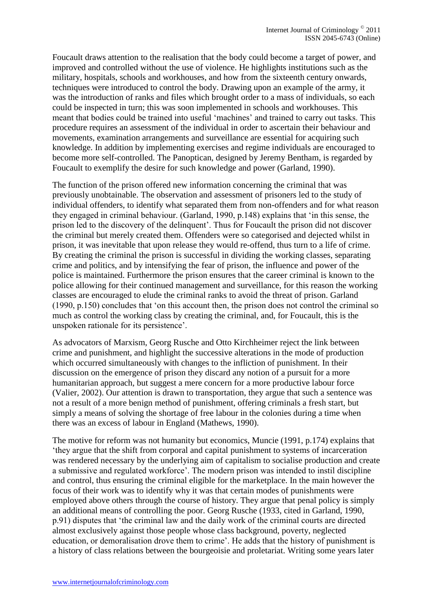Foucault draws attention to the realisation that the body could become a target of power, and improved and controlled without the use of violence. He highlights institutions such as the military, hospitals, schools and workhouses, and how from the sixteenth century onwards, techniques were introduced to control the body. Drawing upon an example of the army, it was the introduction of ranks and files which brought order to a mass of individuals, so each could be inspected in turn; this was soon implemented in schools and workhouses. This meant that bodies could be trained into useful 'machines' and trained to carry out tasks. This procedure requires an assessment of the individual in order to ascertain their behaviour and movements, examination arrangements and surveillance are essential for acquiring such knowledge. In addition by implementing exercises and regime individuals are encouraged to become more self-controlled. The Panoptican, designed by Jeremy Bentham, is regarded by Foucault to exemplify the desire for such knowledge and power (Garland, 1990).

The function of the prison offered new information concerning the criminal that was previously unobtainable. The observation and assessment of prisoners led to the study of individual offenders, to identify what separated them from non-offenders and for what reason they engaged in criminal behaviour. (Garland, 1990, p.148) explains that 'in this sense, the prison led to the discovery of the delinquent'. Thus for Foucault the prison did not discover the criminal but merely created them. Offenders were so categorised and dejected whilst in prison, it was inevitable that upon release they would re-offend, thus turn to a life of crime. By creating the criminal the prison is successful in dividing the working classes, separating crime and politics, and by intensifying the fear of prison, the influence and power of the police is maintained. Furthermore the prison ensures that the career criminal is known to the police allowing for their continued management and surveillance, for this reason the working classes are encouraged to elude the criminal ranks to avoid the threat of prison. Garland (1990, p.150) concludes that 'on this account then, the prison does not control the criminal so much as control the working class by creating the criminal, and, for Foucault, this is the unspoken rationale for its persistence'.

As advocators of Marxism, Georg Rusche and Otto Kirchheimer reject the link between crime and punishment, and highlight the successive alterations in the mode of production which occurred simultaneously with changes to the infliction of punishment. In their discussion on the emergence of prison they discard any notion of a pursuit for a more humanitarian approach, but suggest a mere concern for a more productive labour force (Valier, 2002). Our attention is drawn to transportation, they argue that such a sentence was not a result of a more benign method of punishment, offering criminals a fresh start, but simply a means of solving the shortage of free labour in the colonies during a time when there was an excess of labour in England (Mathews, 1990).

The motive for reform was not humanity but economics, Muncie (1991, p.174) explains that 'they argue that the shift from corporal and capital punishment to systems of incarceration was rendered necessary by the underlying aim of capitalism to socialise production and create a submissive and regulated workforce'. The modern prison was intended to instil discipline and control, thus ensuring the criminal eligible for the marketplace. In the main however the focus of their work was to identify why it was that certain modes of punishments were employed above others through the course of history. They argue that penal policy is simply an additional means of controlling the poor. Georg Rusche (1933, cited in Garland, 1990, p.91) disputes that 'the criminal law and the daily work of the criminal courts are directed almost exclusively against those people whose class background, poverty, neglected education, or demoralisation drove them to crime'. He adds that the history of punishment is a history of class relations between the bourgeoisie and proletariat. Writing some years later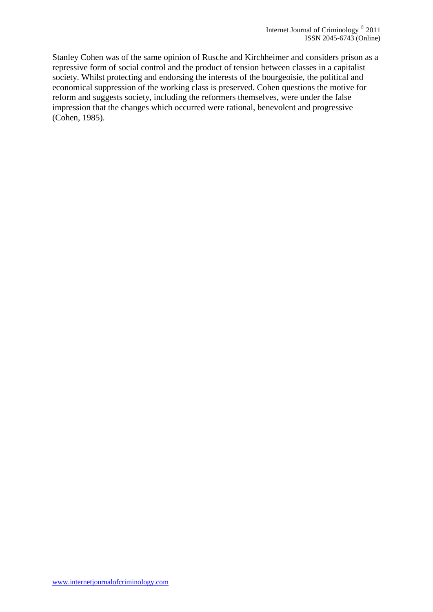Stanley Cohen was of the same opinion of Rusche and Kirchheimer and considers prison as a repressive form of social control and the product of tension between classes in a capitalist society. Whilst protecting and endorsing the interests of the bourgeoisie, the political and economical suppression of the working class is preserved. Cohen questions the motive for reform and suggests society, including the reformers themselves, were under the false impression that the changes which occurred were rational, benevolent and progressive (Cohen, 1985).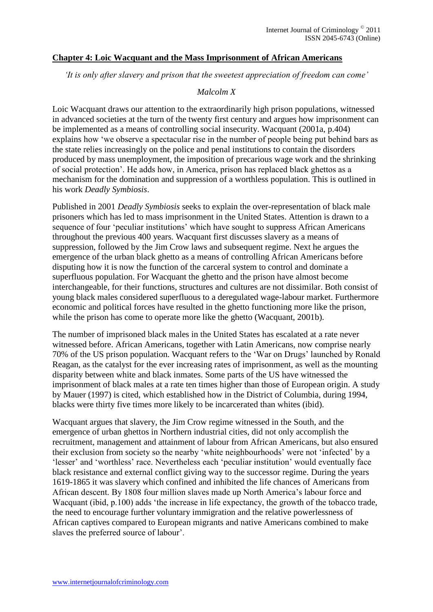#### **Chapter 4: Loic Wacquant and the Mass Imprisonment of African Americans**

*'It is only after slavery and prison that the sweetest appreciation of freedom can come'*

#### *Malcolm X*

Loic Wacquant draws our attention to the extraordinarily high prison populations, witnessed in advanced societies at the turn of the twenty first century and argues how imprisonment can be implemented as a means of controlling social insecurity. Wacquant (2001a, p.404) explains how 'we observe a spectacular rise in the number of people being put behind bars as the state relies increasingly on the police and penal institutions to contain the disorders produced by mass unemployment, the imposition of precarious wage work and the shrinking of social protection'. He adds how, in America, prison has replaced black ghettos as a mechanism for the domination and suppression of a worthless population. This is outlined in his work *Deadly Symbiosis*.

Published in 2001 *Deadly Symbiosis* seeks to explain the over-representation of black male prisoners which has led to mass imprisonment in the United States. Attention is drawn to a sequence of four 'peculiar institutions' which have sought to suppress African Americans throughout the previous 400 years. Wacquant first discusses slavery as a means of suppression, followed by the Jim Crow laws and subsequent regime. Next he argues the emergence of the urban black ghetto as a means of controlling African Americans before disputing how it is now the function of the carceral system to control and dominate a superfluous population. For Wacquant the ghetto and the prison have almost become interchangeable, for their functions, structures and cultures are not dissimilar. Both consist of young black males considered superfluous to a deregulated wage-labour market. Furthermore economic and political forces have resulted in the ghetto functioning more like the prison, while the prison has come to operate more like the ghetto (Wacquant, 2001b).

The number of imprisoned black males in the United States has escalated at a rate never witnessed before. African Americans, together with Latin Americans, now comprise nearly 70% of the US prison population. Wacquant refers to the 'War on Drugs' launched by Ronald Reagan, as the catalyst for the ever increasing rates of imprisonment, as well as the mounting disparity between white and black inmates. Some parts of the US have witnessed the imprisonment of black males at a rate ten times higher than those of European origin. A study by Mauer (1997) is cited, which established how in the District of Columbia, during 1994, blacks were thirty five times more likely to be incarcerated than whites (ibid).

Wacquant argues that slavery, the Jim Crow regime witnessed in the South, and the emergence of urban ghettos in Northern industrial cities, did not only accomplish the recruitment, management and attainment of labour from African Americans, but also ensured their exclusion from society so the nearby 'white neighbourhoods' were not 'infected' by a 'lesser' and 'worthless' race. Nevertheless each 'peculiar institution' would eventually face black resistance and external conflict giving way to the successor regime. During the years 1619-1865 it was slavery which confined and inhibited the life chances of Americans from African descent. By 1808 four million slaves made up North America's labour force and Wacquant (ibid, p.100) adds 'the increase in life expectancy, the growth of the tobacco trade, the need to encourage further voluntary immigration and the relative powerlessness of African captives compared to European migrants and native Americans combined to make slaves the preferred source of labour'.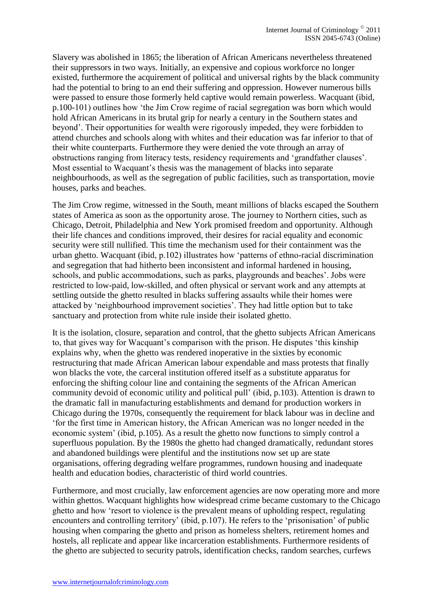Slavery was abolished in 1865; the liberation of African Americans nevertheless threatened their suppressors in two ways. Initially, an expensive and copious workforce no longer existed, furthermore the acquirement of political and universal rights by the black community had the potential to bring to an end their suffering and oppression. However numerous bills were passed to ensure those formerly held captive would remain powerless. Wacquant (ibid, p.100-101) outlines how 'the Jim Crow regime of racial segregation was born which would hold African Americans in its brutal grip for nearly a century in the Southern states and beyond'. Their opportunities for wealth were rigorously impeded, they were forbidden to attend churches and schools along with whites and their education was far inferior to that of their white counterparts. Furthermore they were denied the vote through an array of obstructions ranging from literacy tests, residency requirements and 'grandfather clauses'. Most essential to Wacquant's thesis was the management of blacks into separate neighbourhoods, as well as the segregation of public facilities, such as transportation, movie houses, parks and beaches.

The Jim Crow regime, witnessed in the South, meant millions of blacks escaped the Southern states of America as soon as the opportunity arose. The journey to Northern cities, such as Chicago, Detroit, Philadelphia and New York promised freedom and opportunity. Although their life chances and conditions improved, their desires for racial equality and economic security were still nullified. This time the mechanism used for their containment was the urban ghetto. Wacquant (ibid, p.102) illustrates how 'patterns of ethno-racial discrimination and segregation that had hitherto been inconsistent and informal hardened in housing, schools, and public accommodations, such as parks, playgrounds and beaches'. Jobs were restricted to low-paid, low-skilled, and often physical or servant work and any attempts at settling outside the ghetto resulted in blacks suffering assaults while their homes were attacked by 'neighbourhood improvement societies'. They had little option but to take sanctuary and protection from white rule inside their isolated ghetto.

It is the isolation, closure, separation and control, that the ghetto subjects African Americans to, that gives way for Wacquant's comparison with the prison. He disputes 'this kinship explains why, when the ghetto was rendered inoperative in the sixties by economic restructuring that made African American labour expendable and mass protests that finally won blacks the vote, the carceral institution offered itself as a substitute apparatus for enforcing the shifting colour line and containing the segments of the African American community devoid of economic utility and political pull' (ibid, p.103). Attention is drawn to the dramatic fall in manufacturing establishments and demand for production workers in Chicago during the 1970s, consequently the requirement for black labour was in decline and 'for the first time in American history, the African American was no longer needed in the economic system' (ibid, p.105). As a result the ghetto now functions to simply control a superfluous population. By the 1980s the ghetto had changed dramatically, redundant stores and abandoned buildings were plentiful and the institutions now set up are state organisations, offering degrading welfare programmes, rundown housing and inadequate health and education bodies, characteristic of third world countries.

Furthermore, and most crucially, law enforcement agencies are now operating more and more within ghettos. Wacquant highlights how widespread crime became customary to the Chicago ghetto and how 'resort to violence is the prevalent means of upholding respect, regulating encounters and controlling territory' (ibid, p.107). He refers to the 'prisonisation' of public housing when comparing the ghetto and prison as homeless shelters, retirement homes and hostels, all replicate and appear like incarceration establishments. Furthermore residents of the ghetto are subjected to security patrols, identification checks, random searches, curfews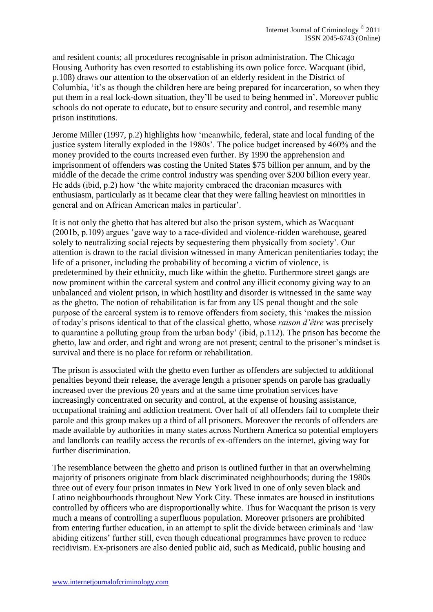and resident counts; all procedures recognisable in prison administration. The Chicago Housing Authority has even resorted to establishing its own police force. Wacquant (ibid, p.108) draws our attention to the observation of an elderly resident in the District of Columbia, 'it's as though the children here are being prepared for incarceration, so when they put them in a real lock-down situation, they'll be used to being hemmed in'. Moreover public schools do not operate to educate, but to ensure security and control, and resemble many prison institutions.

Jerome Miller (1997, p.2) highlights how 'meanwhile, federal, state and local funding of the justice system literally exploded in the 1980s'. The police budget increased by 460% and the money provided to the courts increased even further. By 1990 the apprehension and imprisonment of offenders was costing the United States \$75 billion per annum, and by the middle of the decade the crime control industry was spending over \$200 billion every year. He adds (ibid, p.2) how 'the white majority embraced the draconian measures with enthusiasm, particularly as it became clear that they were falling heaviest on minorities in general and on African American males in particular'.

It is not only the ghetto that has altered but also the prison system, which as Wacquant (2001b, p.109) argues 'gave way to a race-divided and violence-ridden warehouse, geared solely to neutralizing social rejects by sequestering them physically from society'. Our attention is drawn to the racial division witnessed in many American penitentiaries today; the life of a prisoner, including the probability of becoming a victim of violence, is predetermined by their ethnicity, much like within the ghetto. Furthermore street gangs are now prominent within the carceral system and control any illicit economy giving way to an unbalanced and violent prison, in which hostility and disorder is witnessed in the same way as the ghetto. The notion of rehabilitation is far from any US penal thought and the sole purpose of the carceral system is to remove offenders from society, this 'makes the mission of today's prisons identical to that of the classical ghetto, whose *raison d'être* was precisely to quarantine a polluting group from the urban body' (ibid, p.112). The prison has become the ghetto, law and order, and right and wrong are not present; central to the prisoner's mindset is survival and there is no place for reform or rehabilitation.

The prison is associated with the ghetto even further as offenders are subjected to additional penalties beyond their release, the average length a prisoner spends on parole has gradually increased over the previous 20 years and at the same time probation services have increasingly concentrated on security and control, at the expense of housing assistance, occupational training and addiction treatment. Over half of all offenders fail to complete their parole and this group makes up a third of all prisoners. Moreover the records of offenders are made available by authorities in many states across Northern America so potential employers and landlords can readily access the records of ex-offenders on the internet, giving way for further discrimination.

The resemblance between the ghetto and prison is outlined further in that an overwhelming majority of prisoners originate from black discriminated neighbourhoods; during the 1980s three out of every four prison inmates in New York lived in one of only seven black and Latino neighbourhoods throughout New York City. These inmates are housed in institutions controlled by officers who are disproportionally white. Thus for Wacquant the prison is very much a means of controlling a superfluous population. Moreover prisoners are prohibited from entering further education, in an attempt to split the divide between criminals and 'law abiding citizens' further still, even though educational programmes have proven to reduce recidivism. Ex-prisoners are also denied public aid, such as Medicaid, public housing and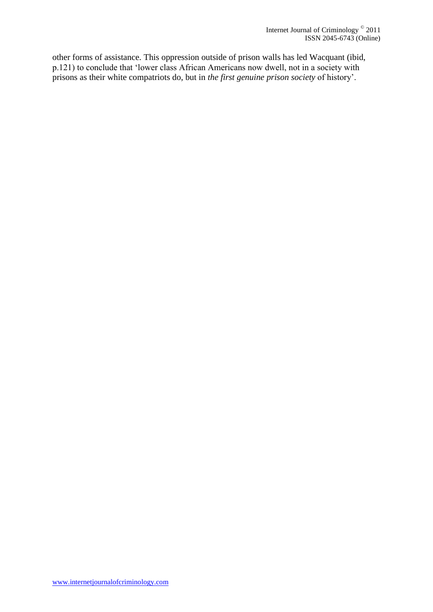other forms of assistance. This oppression outside of prison walls has led Wacquant (ibid, p.121) to conclude that 'lower class African Americans now dwell, not in a society with prisons as their white compatriots do, but in *the first genuine prison society* of history'.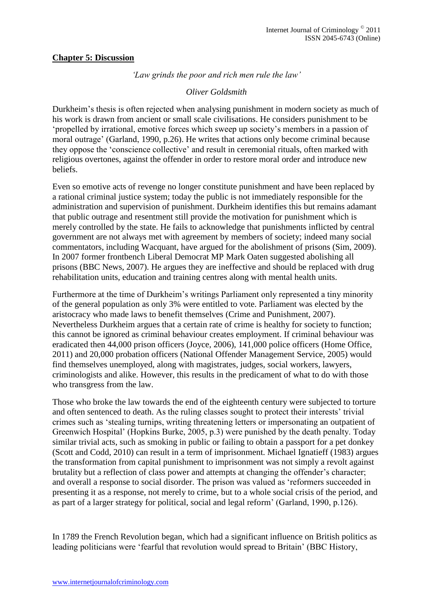#### **Chapter 5: Discussion**

*'Law grinds the poor and rich men rule the law'*

## *Oliver Goldsmith*

Durkheim's thesis is often rejected when analysing punishment in modern society as much of his work is drawn from ancient or small scale civilisations. He considers punishment to be 'propelled by irrational, emotive forces which sweep up society's members in a passion of moral outrage' (Garland, 1990, p.26). He writes that actions only become criminal because they oppose the 'conscience collective' and result in ceremonial rituals, often marked with religious overtones, against the offender in order to restore moral order and introduce new beliefs.

Even so emotive acts of revenge no longer constitute punishment and have been replaced by a rational criminal justice system; today the public is not immediately responsible for the administration and supervision of punishment. Durkheim identifies this but remains adamant that public outrage and resentment still provide the motivation for punishment which is merely controlled by the state. He fails to acknowledge that punishments inflicted by central government are not always met with agreement by members of society; indeed many social commentators, including Wacquant, have argued for the abolishment of prisons (Sim, 2009). In 2007 former frontbench Liberal Democrat MP Mark Oaten suggested abolishing all prisons (BBC News, 2007). He argues they are ineffective and should be replaced with drug rehabilitation units, education and training centres along with mental health units.

Furthermore at the time of Durkheim's writings Parliament only represented a tiny minority of the general population as only 3% were entitled to vote. Parliament was elected by the aristocracy who made laws to benefit themselves (Crime and Punishment, 2007). Nevertheless Durkheim argues that a certain rate of crime is healthy for society to function; this cannot be ignored as criminal behaviour creates employment. If criminal behaviour was eradicated then 44,000 prison officers (Joyce, 2006), 141,000 police officers (Home Office, 2011) and 20,000 probation officers (National Offender Management Service, 2005) would find themselves unemployed, along with magistrates, judges, social workers, lawyers, criminologists and alike. However, this results in the predicament of what to do with those who transgress from the law.

Those who broke the law towards the end of the eighteenth century were subjected to torture and often sentenced to death. As the ruling classes sought to protect their interests' trivial crimes such as 'stealing turnips, writing threatening letters or impersonating an outpatient of Greenwich Hospital' (Hopkins Burke, 2005, p.3) were punished by the death penalty. Today similar trivial acts, such as smoking in public or failing to obtain a passport for a pet donkey (Scott and Codd, 2010) can result in a term of imprisonment. Michael Ignatieff (1983) argues the transformation from capital punishment to imprisonment was not simply a revolt against brutality but a reflection of class power and attempts at changing the offender's character; and overall a response to social disorder. The prison was valued as 'reformers succeeded in presenting it as a response, not merely to crime, but to a whole social crisis of the period, and as part of a larger strategy for political, social and legal reform' (Garland, 1990, p.126).

In 1789 the French Revolution began, which had a significant influence on British politics as leading politicians were 'fearful that revolution would spread to Britain' (BBC History,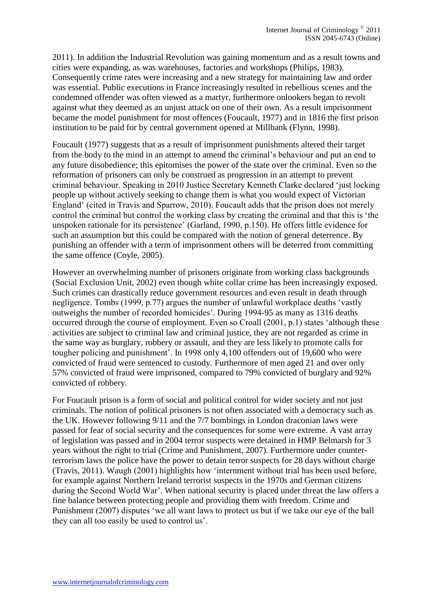2011). In addition the Industrial Revolution was gaining momentum and as a result towns and cities were expanding, as was warehouses, factories and workshops (Philips, 1983). Consequently crime rates were increasing and a new strategy for maintaining law and order was essential. Public executions in France increasingly resulted in rebellious scenes and the condemned offender was often viewed as a martyr, furthermore onlookers began to revolt against what they deemed as an unjust attack on one of their own. As a result imprisonment became the model punishment for most offences (Foucault, 1977) and in 1816 the first prison institution to be paid for by central government opened at Millbank (Flynn, 1998).

Foucault (1977) suggests that as a result of imprisonment punishments altered their target from the body to the mind in an attempt to amend the criminal's behaviour and put an end to any future disobedience; this epitomises the power of the state over the criminal. Even so the reformation of prisoners can only be construed as progression in an attempt to prevent criminal behaviour. Speaking in 2010 Justice Secretary Kenneth Clarke declared 'just locking people up without actively seeking to change them is what you would expect of Victorian England' (cited in Travis and Sparrow, 2010). Foucault adds that the prison does not merely control the criminal but control the working class by creating the criminal and that this is 'the unspoken rationale for its persistence' (Garland, 1990, p.150). He offers little evidence for such an assumption but this could be compared with the notion of general deterrence. By punishing an offender with a term of imprisonment others will be deterred from committing the same offence (Coyle, 2005).

However an overwhelming number of prisoners originate from working class backgrounds (Social Exclusion Unit, 2002) even though white collar crime has been increasingly exposed. Such crimes can drastically reduce government resources and even result in death through negligence. Tombs (1999, p.77) argues the number of unlawful workplace deaths 'vastly outweighs the number of recorded homicides'. During 1994-95 as many as 1316 deaths occurred through the course of employment. Even so Croall (2001, p.1) states 'although these activities are subject to criminal law and criminal justice, they are not regarded as crime in the same way as burglary, robbery or assault, and they are less likely to promote calls for tougher policing and punishment'. In 1998 only 4,100 offenders out of 19,600 who were convicted of fraud were sentenced to custody. Furthermore of men aged 21 and over only 57% convicted of fraud were imprisoned, compared to 79% convicted of burglary and 92% convicted of robbery.

For Foucault prison is a form of social and political control for wider society and not just criminals. The notion of political prisoners is not often associated with a democracy such as the UK. However following 9/11 and the 7/7 bombings in London draconian laws were passed for fear of social security and the consequences for some were extreme. A vast array of legislation was passed and in 2004 terror suspects were detained in HMP Belmarsh for 3 years without the right to trial (Crime and Punishment, 2007). Furthermore under counterterrorism laws the police have the power to detain terror suspects for 28 days without charge (Travis, 2011). Waugh (2001) highlights how 'internment without trial has been used before, for example against Northern Ireland terrorist suspects in the 1970s and German citizens during the Second World War'. When national security is placed under threat the law offers a fine balance between protecting people and providing them with freedom. Crime and Punishment (2007) disputes 'we all want laws to protect us but if we take our eye of the ball they can all too easily be used to control us'.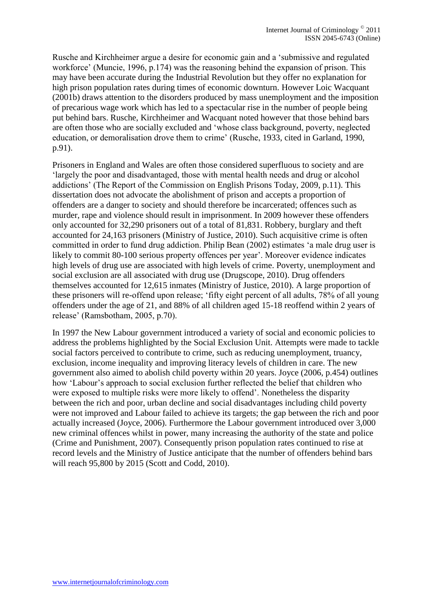Rusche and Kirchheimer argue a desire for economic gain and a 'submissive and regulated workforce' (Muncie, 1996, p.174) was the reasoning behind the expansion of prison. This may have been accurate during the Industrial Revolution but they offer no explanation for high prison population rates during times of economic downturn. However Loic Wacquant (2001b) draws attention to the disorders produced by mass unemployment and the imposition of precarious wage work which has led to a spectacular rise in the number of people being put behind bars. Rusche, Kirchheimer and Wacquant noted however that those behind bars are often those who are socially excluded and 'whose class background, poverty, neglected education, or demoralisation drove them to crime' (Rusche, 1933, cited in Garland, 1990, p.91).

Prisoners in England and Wales are often those considered superfluous to society and are 'largely the poor and disadvantaged, those with mental health needs and drug or alcohol addictions' (The Report of the Commission on English Prisons Today, 2009, p.11). This dissertation does not advocate the abolishment of prison and accepts a proportion of offenders are a danger to society and should therefore be incarcerated; offences such as murder, rape and violence should result in imprisonment. In 2009 however these offenders only accounted for 32,290 prisoners out of a total of 81,831. Robbery, burglary and theft accounted for 24,163 prisoners (Ministry of Justice, 2010). Such acquisitive crime is often committed in order to fund drug addiction. Philip Bean (2002) estimates 'a male drug user is likely to commit 80-100 serious property offences per year'. Moreover evidence indicates high levels of drug use are associated with high levels of crime. Poverty, unemployment and social exclusion are all associated with drug use (Drugscope, 2010). Drug offenders themselves accounted for 12,615 inmates (Ministry of Justice, 2010). A large proportion of these prisoners will re-offend upon release; 'fifty eight percent of all adults, 78% of all young offenders under the age of 21, and 88% of all children aged 15-18 reoffend within 2 years of release' (Ramsbotham, 2005, p.70).

In 1997 the New Labour government introduced a variety of social and economic policies to address the problems highlighted by the Social Exclusion Unit. Attempts were made to tackle social factors perceived to contribute to crime, such as reducing unemployment, truancy, exclusion, income inequality and improving literacy levels of children in care. The new government also aimed to abolish child poverty within 20 years. Joyce (2006, p.454) outlines how 'Labour's approach to social exclusion further reflected the belief that children who were exposed to multiple risks were more likely to offend'. Nonetheless the disparity between the rich and poor, urban decline and social disadvantages including child poverty were not improved and Labour failed to achieve its targets; the gap between the rich and poor actually increased (Joyce, 2006). Furthermore the Labour government introduced over 3,000 new criminal offences whilst in power, many increasing the authority of the state and police (Crime and Punishment, 2007). Consequently prison population rates continued to rise at record levels and the Ministry of Justice anticipate that the number of offenders behind bars will reach 95,800 by 2015 (Scott and Codd, 2010).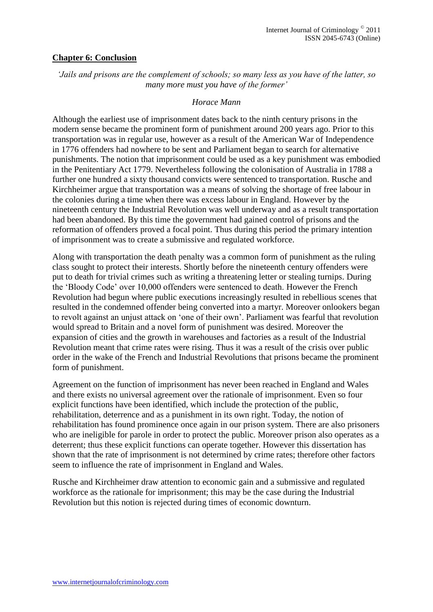## **Chapter 6: Conclusion**

*'Jails and prisons are the complement of schools; so many less as you have of the latter, so many more must you have of the former'*

#### *Horace Mann*

Although the earliest use of imprisonment dates back to the ninth century prisons in the modern sense became the prominent form of punishment around 200 years ago. Prior to this transportation was in regular use, however as a result of the American War of Independence in 1776 offenders had nowhere to be sent and Parliament began to search for alternative punishments. The notion that imprisonment could be used as a key punishment was embodied in the Penitentiary Act 1779. Nevertheless following the colonisation of Australia in 1788 a further one hundred a sixty thousand convicts were sentenced to transportation. Rusche and Kirchheimer argue that transportation was a means of solving the shortage of free labour in the colonies during a time when there was excess labour in England. However by the nineteenth century the Industrial Revolution was well underway and as a result transportation had been abandoned. By this time the government had gained control of prisons and the reformation of offenders proved a focal point. Thus during this period the primary intention of imprisonment was to create a submissive and regulated workforce.

Along with transportation the death penalty was a common form of punishment as the ruling class sought to protect their interests. Shortly before the nineteenth century offenders were put to death for trivial crimes such as writing a threatening letter or stealing turnips. During the 'Bloody Code' over 10,000 offenders were sentenced to death. However the French Revolution had begun where public executions increasingly resulted in rebellious scenes that resulted in the condemned offender being converted into a martyr. Moreover onlookers began to revolt against an unjust attack on 'one of their own'. Parliament was fearful that revolution would spread to Britain and a novel form of punishment was desired. Moreover the expansion of cities and the growth in warehouses and factories as a result of the Industrial Revolution meant that crime rates were rising. Thus it was a result of the crisis over public order in the wake of the French and Industrial Revolutions that prisons became the prominent form of punishment.

Agreement on the function of imprisonment has never been reached in England and Wales and there exists no universal agreement over the rationale of imprisonment. Even so four explicit functions have been identified, which include the protection of the public, rehabilitation, deterrence and as a punishment in its own right. Today, the notion of rehabilitation has found prominence once again in our prison system. There are also prisoners who are ineligible for parole in order to protect the public. Moreover prison also operates as a deterrent; thus these explicit functions can operate together. However this dissertation has shown that the rate of imprisonment is not determined by crime rates; therefore other factors seem to influence the rate of imprisonment in England and Wales.

Rusche and Kirchheimer draw attention to economic gain and a submissive and regulated workforce as the rationale for imprisonment; this may be the case during the Industrial Revolution but this notion is rejected during times of economic downturn.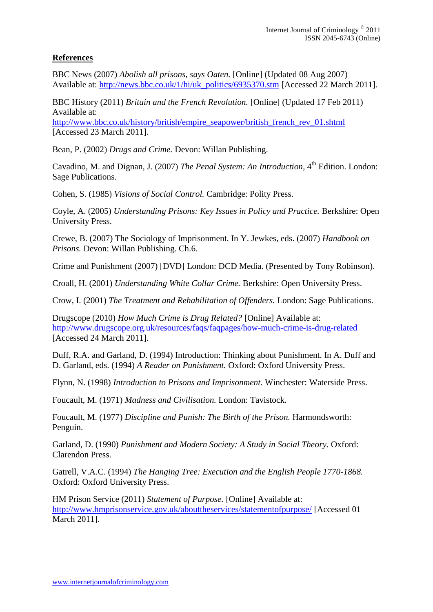# **References**

BBC News (2007) *Abolish all prisons, says Oaten.* [Online] (Updated 08 Aug 2007) Available at: [http://news.bbc.co.uk/1/hi/uk\\_politics/6935370.stm](http://news.bbc.co.uk/1/hi/uk_politics/6935370.stm) [Accessed 22 March 2011].

BBC History (2011) *Britain and the French Revolution.* [Online] (Updated 17 Feb 2011) Available at:

[http://www.bbc.co.uk/history/british/empire\\_seapower/british\\_french\\_rev\\_01.shtml](http://www.bbc.co.uk/history/british/empire_seapower/british_french_rev_01.shtml) [Accessed 23 March 2011].

Bean, P. (2002) *Drugs and Crime.* Devon: Willan Publishing.

Cavadino, M. and Dignan, J. (2007) *The Penal System: An Introduction*, 4<sup>th</sup> Edition. London: Sage Publications.

Cohen, S. (1985) *Visions of Social Control.* Cambridge: Polity Press.

Coyle, A. (2005) *Understanding Prisons: Key Issues in Policy and Practice.* Berkshire: Open University Press.

Crewe, B. (2007) The Sociology of Imprisonment. In Y. Jewkes, eds. (2007) *Handbook on Prisons.* Devon: Willan Publishing. Ch.6.

Crime and Punishment (2007) [DVD] London: DCD Media. (Presented by Tony Robinson).

Croall, H. (2001) *Understanding White Collar Crime.* Berkshire: Open University Press.

Crow, I. (2001) *The Treatment and Rehabilitation of Offenders.* London: Sage Publications.

Drugscope (2010) *How Much Crime is Drug Related?* [Online] Available at: <http://www.drugscope.org.uk/resources/faqs/faqpages/how-much-crime-is-drug-related> [Accessed 24 March 2011].

Duff, R.A. and Garland, D. (1994) Introduction: Thinking about Punishment. In A. Duff and D. Garland, eds. (1994) *A Reader on Punishment.* Oxford: Oxford University Press.

Flynn, N. (1998) *Introduction to Prisons and Imprisonment.* Winchester: Waterside Press.

Foucault, M. (1971) *Madness and Civilisation.* London: Tavistock.

Foucault, M. (1977) *Discipline and Punish: The Birth of the Prison.* Harmondsworth: Penguin.

Garland, D. (1990) *Punishment and Modern Society: A Study in Social Theory.* Oxford: Clarendon Press.

Gatrell, V.A.C. (1994) *The Hanging Tree: Execution and the English People 1770-1868.*  Oxford: Oxford University Press.

HM Prison Service (2011) *Statement of Purpose.* [Online] Available at: <http://www.hmprisonservice.gov.uk/abouttheservices/statementofpurpose/> [Accessed 01 March 2011].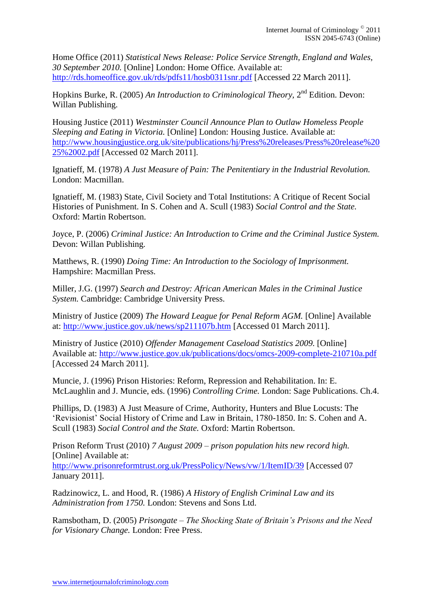Home Office (2011) *Statistical News Release: Police Service Strength, England and Wales, 30 September 2010.* [Online] London: Home Office. Available at: <http://rds.homeoffice.gov.uk/rds/pdfs11/hosb0311snr.pdf> [Accessed 22 March 2011].

Hopkins Burke, R. (2005) An Introduction to Criminological Theory, 2<sup>nd</sup> Edition. Devon: Willan Publishing.

Housing Justice (2011) *Westminster Council Announce Plan to Outlaw Homeless People Sleeping and Eating in Victoria.* [Online] London: Housing Justice. Available at: [http://www.housingjustice.org.uk/site/publications/hj/Press%20releases/Press%20release%20](http://www.housingjustice.org.uk/site/publications/hj/Press%20releases/Press%20release%2025%2002.pdf) [25%2002.pdf](http://www.housingjustice.org.uk/site/publications/hj/Press%20releases/Press%20release%2025%2002.pdf) [Accessed 02 March 2011].

Ignatieff, M. (1978) *A Just Measure of Pain: The Penitentiary in the Industrial Revolution.*  London: Macmillan.

Ignatieff, M. (1983) State, Civil Society and Total Institutions: A Critique of Recent Social Histories of Punishment. In S. Cohen and A. Scull (1983) *Social Control and the State.*  Oxford: Martin Robertson.

Joyce, P. (2006) *Criminal Justice: An Introduction to Crime and the Criminal Justice System.*  Devon: Willan Publishing.

Matthews, R. (1990) *Doing Time: An Introduction to the Sociology of Imprisonment.*  Hampshire: Macmillan Press.

Miller, J.G. (1997) *Search and Destroy: African American Males in the Criminal Justice System.* Cambridge: Cambridge University Press.

Ministry of Justice (2009) *The Howard League for Penal Reform AGM.* [Online] Available at:<http://www.justice.gov.uk/news/sp211107b.htm> [Accessed 01 March 2011].

Ministry of Justice (2010) *Offender Management Caseload Statistics 2009.* [Online] Available at:<http://www.justice.gov.uk/publications/docs/omcs-2009-complete-210710a.pdf> [Accessed 24 March 2011].

Muncie, J. (1996) Prison Histories: Reform, Repression and Rehabilitation. In: E. McLaughlin and J. Muncie, eds. (1996) *Controlling Crime.* London: Sage Publications. Ch.4.

Phillips, D. (1983) A Just Measure of Crime, Authority, Hunters and Blue Locusts: The 'Revisionist' Social History of Crime and Law in Britain, 1780-1850. In: S. Cohen and A. Scull (1983) *Social Control and the State.* Oxford: Martin Robertson.

Prison Reform Trust (2010) *7 August 2009 – prison population hits new record high.*  [Online] Available at:

<http://www.prisonreformtrust.org.uk/PressPolicy/News/vw/1/ItemID/39> [Accessed 07 January 2011].

Radzinowicz, L. and Hood, R. (1986) *A History of English Criminal Law and its Administration from 1750.* London: Stevens and Sons Ltd.

Ramsbotham, D. (2005) *Prisongate – The Shocking State of Britain's Prisons and the Need for Visionary Change.* London: Free Press.